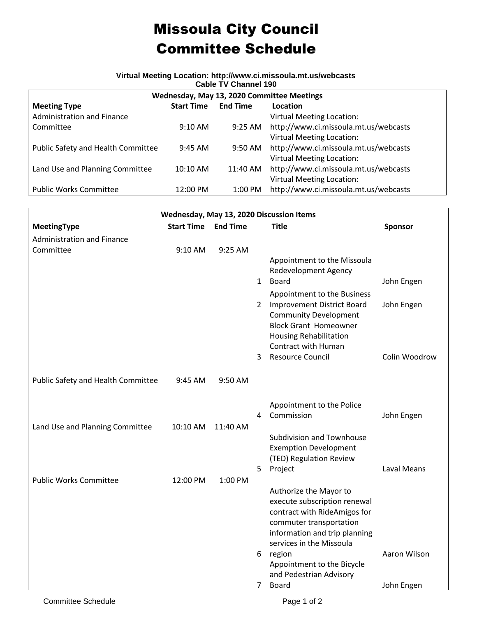## Missoula City Council Committee Schedule

## **Virtual Meeting Location: http://www.ci.missoula.mt.us/webcasts Cable TV Channel 190**

| Wednesday, May 13, 2020 Committee Meetings |                   |                   |                                       |  |  |  |  |  |  |
|--------------------------------------------|-------------------|-------------------|---------------------------------------|--|--|--|--|--|--|
| <b>Meeting Type</b>                        | <b>Start Time</b> | <b>End Time</b>   | Location                              |  |  |  |  |  |  |
| <b>Administration and Finance</b>          |                   |                   | <b>Virtual Meeting Location:</b>      |  |  |  |  |  |  |
| Committee                                  | $9:10 \text{ AM}$ | $9:25 \text{ AM}$ | http://www.ci.missoula.mt.us/webcasts |  |  |  |  |  |  |
|                                            |                   |                   | <b>Virtual Meeting Location:</b>      |  |  |  |  |  |  |
| Public Safety and Health Committee         | $9:45 \text{ AM}$ | $9:50 \text{ AM}$ | http://www.ci.missoula.mt.us/webcasts |  |  |  |  |  |  |
|                                            |                   |                   | <b>Virtual Meeting Location:</b>      |  |  |  |  |  |  |
| Land Use and Planning Committee            | $10:10$ AM        | 11:40 AM          | http://www.ci.missoula.mt.us/webcasts |  |  |  |  |  |  |
|                                            |                   |                   | <b>Virtual Meeting Location:</b>      |  |  |  |  |  |  |
| <b>Public Works Committee</b>              | 12:00 PM          | $1:00$ PM         | http://www.ci.missoula.mt.us/webcasts |  |  |  |  |  |  |

| Wednesday, May 13, 2020 Discussion Items |                            |          |                                                                                                                                                                                |  |  |  |  |  |  |
|------------------------------------------|----------------------------|----------|--------------------------------------------------------------------------------------------------------------------------------------------------------------------------------|--|--|--|--|--|--|
| MeetingType                              | <b>Start Time End Time</b> |          | <b>Title</b><br><b>Sponsor</b>                                                                                                                                                 |  |  |  |  |  |  |
| <b>Administration and Finance</b>        |                            |          |                                                                                                                                                                                |  |  |  |  |  |  |
| Committee                                | $9:10 \text{ AM}$          | 9:25 AM  | Appointment to the Missoula<br><b>Redevelopment Agency</b><br>1 Board<br>John Engen                                                                                            |  |  |  |  |  |  |
|                                          |                            |          | Appointment to the Business                                                                                                                                                    |  |  |  |  |  |  |
|                                          |                            |          | 2 Improvement District Board<br>John Engen<br><b>Community Development</b><br><b>Block Grant Homeowner</b><br><b>Housing Rehabilitation</b><br>Contract with Human             |  |  |  |  |  |  |
|                                          |                            |          | 3 Resource Council<br>Colin Woodrow                                                                                                                                            |  |  |  |  |  |  |
|                                          |                            |          |                                                                                                                                                                                |  |  |  |  |  |  |
| Public Safety and Health Committee       | $9:45$ AM                  | 9:50 AM  |                                                                                                                                                                                |  |  |  |  |  |  |
|                                          |                            |          | Appointment to the Police<br>4 Commission<br>John Engen                                                                                                                        |  |  |  |  |  |  |
| Land Use and Planning Committee          | 10:10 AM                   | 11:40 AM | <b>Subdivision and Townhouse</b><br><b>Exemption Development</b><br>(TED) Regulation Review                                                                                    |  |  |  |  |  |  |
| <b>Public Works Committee</b>            | 12:00 PM                   | 1:00 PM  | 5 Project<br>Laval Means                                                                                                                                                       |  |  |  |  |  |  |
|                                          |                            |          | Authorize the Mayor to<br>execute subscription renewal<br>contract with RideAmigos for<br>commuter transportation<br>information and trip planning<br>services in the Missoula |  |  |  |  |  |  |
|                                          |                            |          | Aaron Wilson<br>6 region<br>Appointment to the Bicycle<br>and Pedestrian Advisory                                                                                              |  |  |  |  |  |  |
|                                          |                            |          | $7^{\circ}$<br><b>Board</b><br>John Engen                                                                                                                                      |  |  |  |  |  |  |
| <b>Committee Schedule</b>                |                            |          | Page 1 of 2                                                                                                                                                                    |  |  |  |  |  |  |